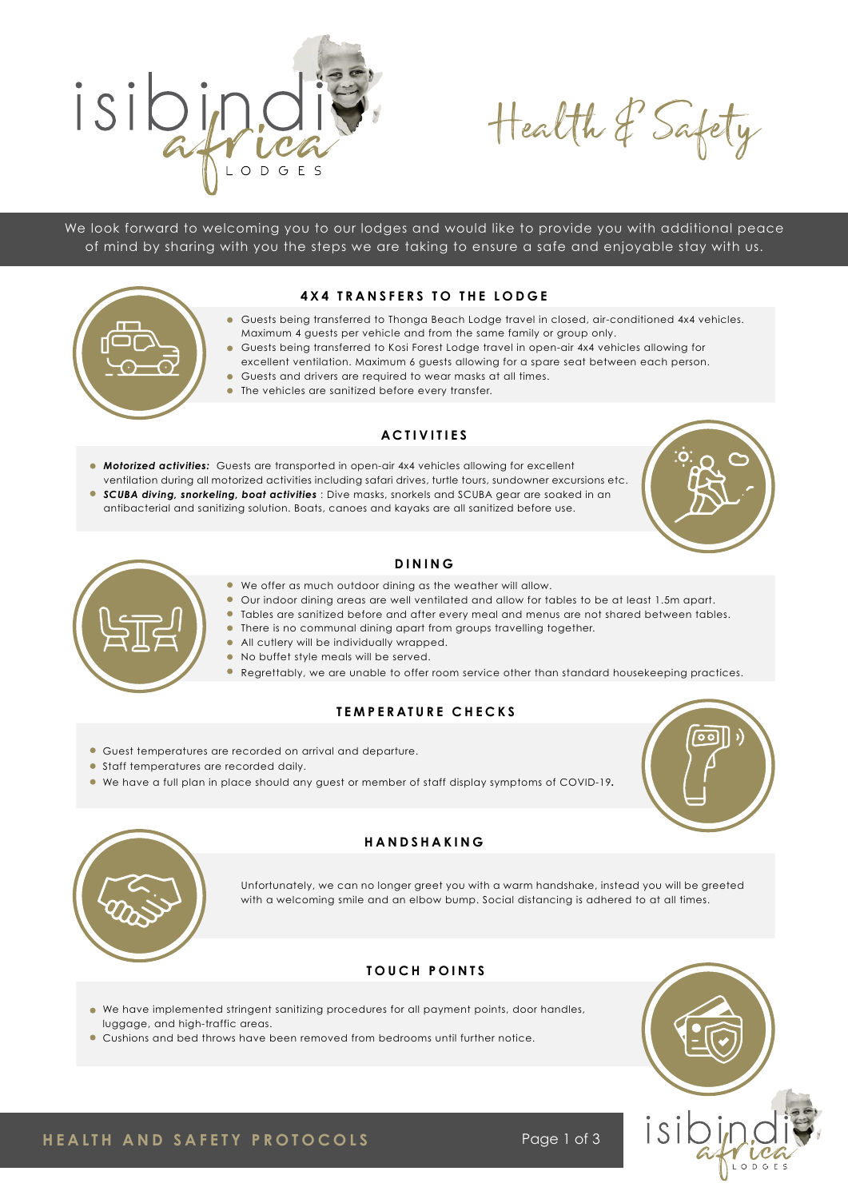

Health & Safety

We look forward to welcoming you to our lodges and would like to provide you with additional peace of mind by sharing with you the steps we are taking to ensure a safe and enjoyable stay with us.

#### **4X4 TRANSFERS TO THE LODGE**



- Guests being transferred to Thonga Beach Lodge travel in closed, air-conditioned 4x4 vehicles. Maximum 4 guests per vehicle and from the same family or group only.
- Guests being transferred to Kosi Forest Lodge travel in open-air 4x4 vehicles allowing for excellent ventilation. Maximum 6 guests allowing for a spare seat between each person.
- Guests and drivers are required to wear masks at all times.
- The vehicles are sanitized before every transfer.

### **ACTIVITIES**

**Motorized activities:** Guests are transported in open-air 4x4 vehicles allowing for excellent ventilation during all motorized activities including safari drives, turtle tours, sundowner excursions etc. *SCUBA diving, snorkeling, boat activities* : Dive masks, snorkels and SCUBA gear are soaked in an antibacterial and sanitizing solution. Boats, canoes and kayaks are all sanitized before use.





#### **DINING**

- We offer as much outdoor dining as the weather will allow.
- Our indoor dining areas are well ventilated and allow for tables to be at least 1.5m apart.
- Tables are sanitized before and after every meal and menus are not shared between tables.
- There is no communal dining apart from groups travelling together.
	- All cutlery will be individually wrapped.
	- No buffet style meals will be served.
	- Regrettably, we are unable to offer room service other than standard housekeeping practices.

## **TEMPERATURE CHECKS**

- Guest temperatures are recorded on arrival and departure.
- Staff temperatures are recorded daily.
- We have a full plan in place should any guest or member of staff display symptoms of COVID-19*.*





#### **HANDSHAKING**

Unfortunately, we can no longer greet you with a warm handshake, instead you will be greeted with a welcoming smile and an elbow bump. Social distancing is adhered to at all times.

## **TOUCH POINTS**

- We have implemented stringent sanitizing procedures for all payment points, door handles, luggage, and high-traffic areas.
- Cushions and bed throws have been removed from bedrooms until further notice.



**HEALTH AND SAFETY PROTOCOLS** Page 1 of 3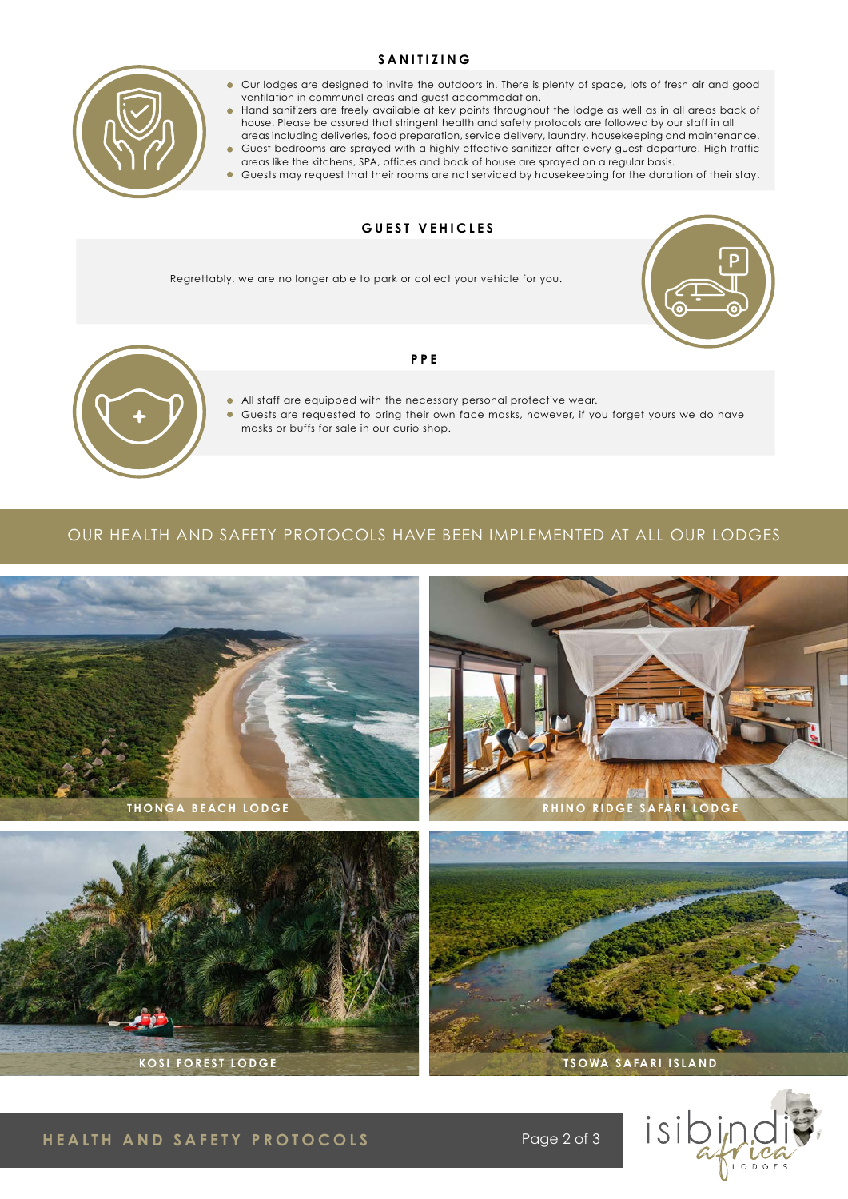#### **SANITIZING**



- Our lodges are designed to invite the outdoors in. There is plenty of space, lots of fresh air and good ventilation in communal areas and guest accommodation.
- Hand sanitizers are freely available at key points throughout the lodge as well as in all areas back of house. Please be assured that stringent health and safety protocols are followed by our staff in all areas including deliveries, food preparation, service delivery, laundry, housekeeping and maintenance.
- Guest bedrooms are sprayed with a highly effective sanitizer after every guest departure. High traffic areas like the kitchens, SPA, offices and back of house are sprayed on a regular basis.
- Guests may request that their rooms are not serviced by housekeeping for the duration of their stay.

## **GUEST VEHICLES**

Regrettably, we are no longer able to park or collect your vehicle for you.





#### **PPE**

- All staff are equipped with the necessary personal protective wear.
- Guests are requested to bring their own face masks, however, if you forget yours we do have masks or buffs for sale in our curio shop.

#### OUR HEALTH AND SAFETY PROTOCOLS HAVE BEEN IMPLEMENTED AT ALL OUR LODGES



## **HEALTH AND SAFETY PROTOCOLS** Page 2 of 3

isibi